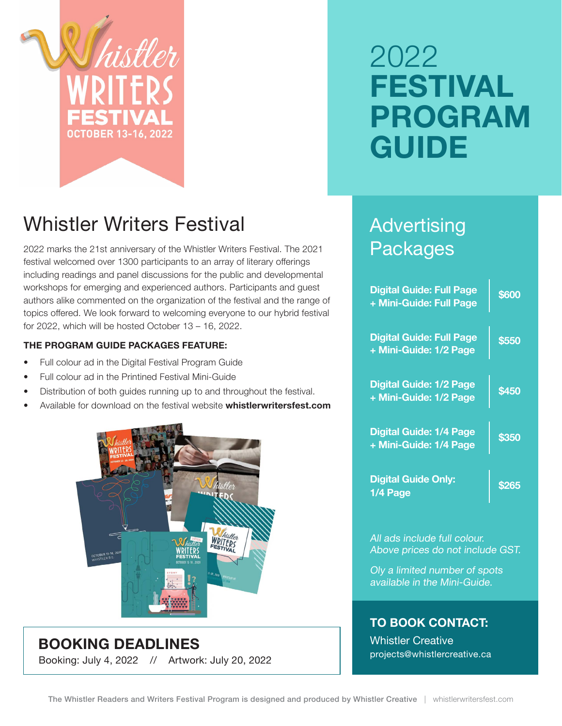

# 2022 **FESTIVAL PROGRAM GUIDE**

# Whistler Writers Festival

2022 marks the 21st anniversary of the Whistler Writers Festival. The 2021 festival welcomed over 1300 participants to an array of literary offerings including readings and panel discussions for the public and developmental workshops for emerging and experienced authors. Participants and guest authors alike commented on the organization of the festival and the range of topics offered. We look forward to welcoming everyone to our hybrid festival for 2022, which will be hosted October 13 – 16, 2022.

#### **THE PROGRAM GUIDE PACKAGES FEATURE:**

- Full colour ad in the Digital Festival Program Guide
- Full colour ad in the Printined Festival Mini-Guide
- Distribution of both guides running up to and throughout the festival.
- Available for download on the festival website **whistlerwritersfest.com**



**BOOKING DEADLINES** Booking: July 4, 2022 // Artwork: July 20, 2022

## **Advertising** Packages

| <b>Digital Guide: Full Page</b><br>+ Mini-Guide: Full Page | \$600 |
|------------------------------------------------------------|-------|
| <b>Digital Guide: Full Page</b><br>+ Mini-Guide: 1/2 Page  | \$550 |
| <b>Digital Guide: 1/2 Page</b><br>+ Mini-Guide: 1/2 Page   | \$450 |
| <b>Digital Guide: 1/4 Page</b><br>+ Mini-Guide: 1/4 Page   | \$350 |
| <b>Digital Guide Only:</b><br>1/4 Page                     | \$265 |

All ads include full colour. Above prices do not include GST.

Oly a limited number of spots available in the Mini-Guide.

#### **TO BOOK CONTACT:**

Whistler Creative projects@whistlercreative.ca